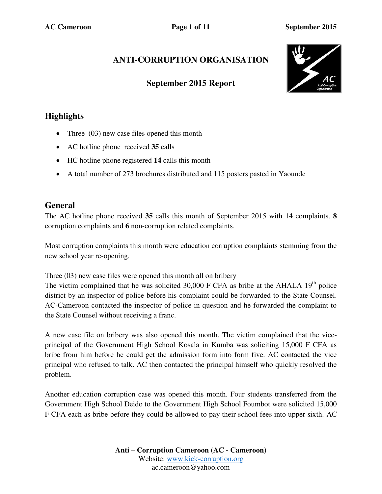# **ANTI-CORRUPTION ORGANISATION**

## **September 2015 Report**



# **Highlights**

- Three  $(03)$  new case files opened this month
- AC hotline phone received **35** calls
- HC hotline phone registered **14** calls this month
- A total number of 273 brochures distributed and 115 posters pasted in Yaounde

## **General**

The AC hotline phone received **35** calls this month of September 2015 with 1**4** complaints. **8** corruption complaints and **6** non-corruption related complaints.

Most corruption complaints this month were education corruption complaints stemming from the new school year re-opening.

Three (03) new case files were opened this month all on bribery

The victim complained that he was solicited  $30,000$  F CFA as bribe at the AHALA 19<sup>th</sup> police district by an inspector of police before his complaint could be forwarded to the State Counsel. AC-Cameroon contacted the inspector of police in question and he forwarded the complaint to the State Counsel without receiving a franc.

A new case file on bribery was also opened this month. The victim complained that the viceprincipal of the Government High School Kosala in Kumba was soliciting 15,000 F CFA as bribe from him before he could get the admission form into form five. AC contacted the vice principal who refused to talk. AC then contacted the principal himself who quickly resolved the problem.

Another education corruption case was opened this month. Four students transferred from the Government High School Deido to the Government High School Foumbot were solicited 15,000 F CFA each as bribe before they could be allowed to pay their school fees into upper sixth. AC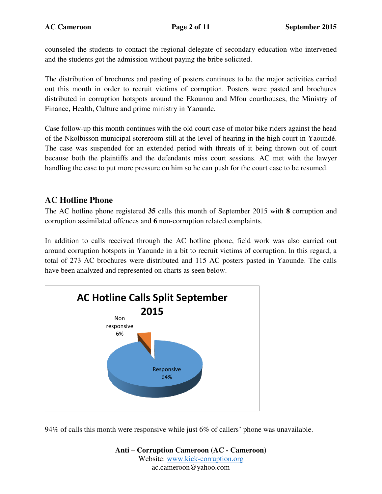counseled the students to contact the regional delegate of secondary education who intervened and the students got the admission without paying the bribe solicited.

The distribution of brochures and pasting of posters continues to be the major activities carried out this month in order to recruit victims of corruption. Posters were pasted and brochures distributed in corruption hotspots around the Ekounou and Mfou courthouses, the Ministry of Finance, Health, Culture and prime ministry in Yaounde.

Case follow-up this month continues with the old court case of motor bike riders against the head of the Nkolbisson municipal storeroom still at the level of hearing in the high court in Yaoundé. The case was suspended for an extended period with threats of it being thrown out of court because both the plaintiffs and the defendants miss court sessions. AC met with the lawyer handling the case to put more pressure on him so he can push for the court case to be resumed.

## **AC Hotline Phone**

The AC hotline phone registered **35** calls this month of September 2015 with **8** corruption and corruption assimilated offences and **6** non-corruption related complaints.

In addition to calls received through the AC hotline phone, field work was also carried out around corruption hotspots in Yaounde in a bit to recruit victims of corruption. In this regard, a total of 273 AC brochures were distributed and 115 AC posters pasted in Yaounde. The calls have been analyzed and represented on charts as seen below.



94% of calls this month were responsive while just 6% of callers' phone was unavailable.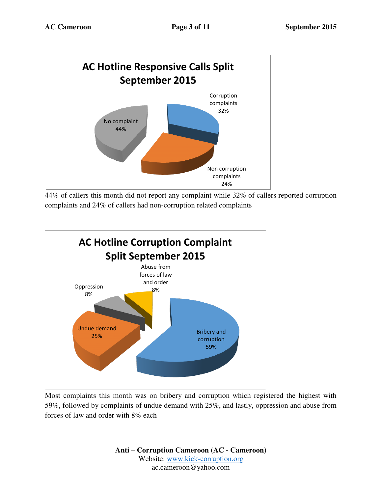

44% of callers this month did not report any complaint while 32% of callers reported corruption complaints and 24% of callers had non-corruption related complaints



Most complaints this month was on bribery and corruption which registered the highest with 59%, followed by complaints of undue demand with 25%, and lastly, oppression and abuse from forces of law and order with 8% each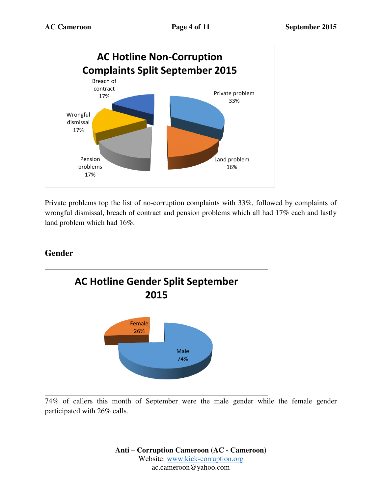

Private problems top the list of no-corruption complaints with 33%, followed by complaints of wrongful dismissal, breach of contract and pension problems which all had 17% each and lastly land problem which had 16%.

## **Gender**



74% of callers this month of September were the male gender while the female gender participated with 26% calls.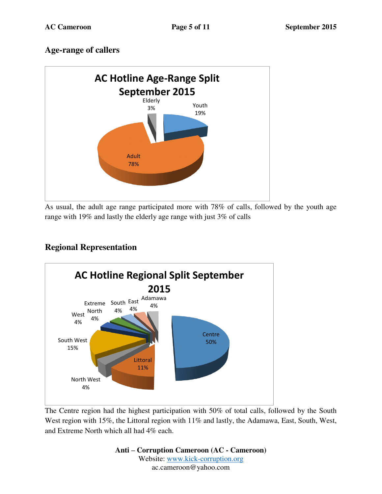## **Age-range of callers**



As usual, the adult age range participated more with 78% of calls, followed by the youth age range with 19% and lastly the elderly age range with just 3% of calls



# **Regional Representation**

The Centre region had the highest participation with 50% of total calls, followed by the South West region with 15%, the Littoral region with 11% and lastly, the Adamawa, East, South, West, and Extreme North which all had 4% each.

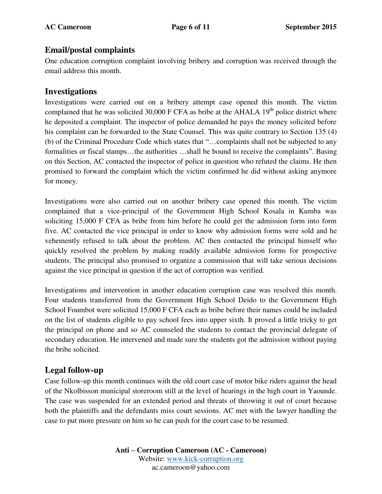#### **Email/postal complaints**

One education corruption complaint involving bribery and corruption was received through the email address this month.

#### **Investigations**

Investigations were carried out on a bribery attempt case opened this month. The victim complained that he was solicited  $30,000$  F CFA as bribe at the AHALA  $19<sup>th</sup>$  police district where he deposited a complaint. The inspector of police demanded he pays the money solicited before his complaint can be forwarded to the State Counsel. This was quite contrary to Section 135 (4) (b) of the Criminal Procedure Code which states that "…complaints shall not be subjected to any formalities or fiscal stamps…the authorities …shall be bound to receive the complaints". Basing on this Section, AC contacted the inspector of police in question who refuted the claims. He then promised to forward the complaint which the victim confirmed he did without asking anymore for money.

Investigations were also carried out on another bribery case opened this month. The victim complained that a vice-principal of the Government High School Kosala in Kumba was soliciting 15,000 F CFA as bribe from him before he could get the admission form into form five. AC contacted the vice principal in order to know why admission forms were sold and he vehemently refused to talk about the problem. AC then contacted the principal himself who quickly resolved the problem by making readily available admission forms for prospective students. The principal also promised to organize a commission that will take serious decisions against the vice principal in question if the act of corruption was verified.

Investigations and intervention in another education corruption case was resolved this month. Four students transferred from the Government High School Deido to the Government High School Foumbot were solicited 15,000 F CFA each as bribe before their names could be included on the list of students eligible to pay school fees into upper sixth. It proved a little tricky to get the principal on phone and so AC counseled the students to contact the provincial delegate of secondary education. He intervened and made sure the students got the admission without paying the bribe solicited.

### **Legal follow-up**

Case follow-up this month continues with the old court case of motor bike riders against the head of the Nkolbisson municipal storeroom still at the level of hearings in the high court in Yaounde. The case was suspended for an extended period and threats of throwing it out of court because both the plaintiffs and the defendants miss court sessions. AC met with the lawyer handling the case to put more pressure on him so he can push for the court case to be resumed.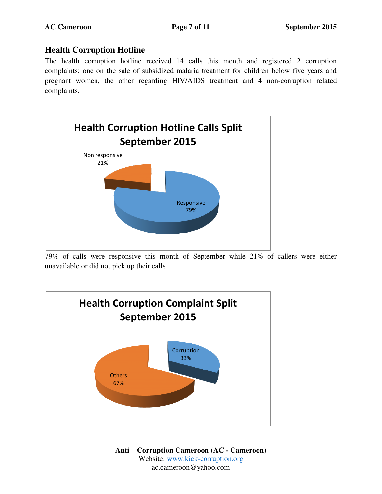### **Health Corruption Hotline**

The health corruption hotline received 14 calls this month and registered 2 corruption complaints; one on the sale of subsidized malaria treatment for children below five years and pregnant women, the other regarding HIV/AIDS treatment and 4 non-corruption related complaints.



79% of calls were responsive this month of September while 21% of callers were either unavailable or did not pick up their calls

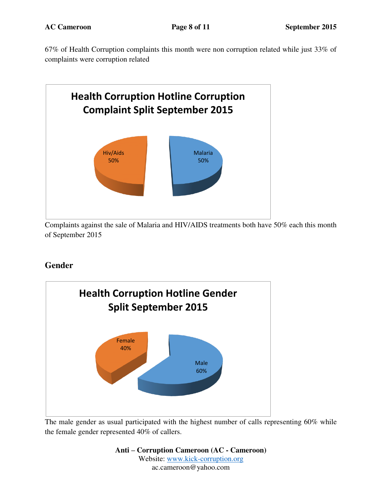67% of Health Corruption complaints this month were non corruption related while just 33% of complaints were corruption related



Complaints against the sale of Malaria and HIV/AIDS treatments both have 50% each this month of September 2015

# **Gender**



The male gender as usual participated with the highest number of calls representing 60% while the female gender represented 40% of callers.

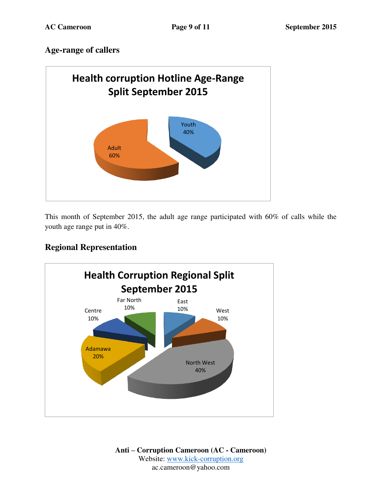### **Age-range of callers**



This month of September 2015, the adult age range participated with 60% of calls while the youth age range put in 40%.

## **Regional Representation**

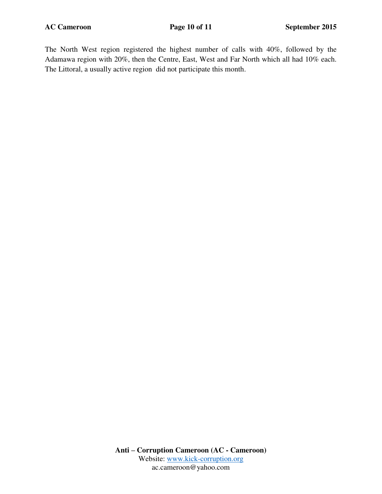The North West region registered the highest number of calls with 40%, followed by the Adamawa region with 20%, then the Centre, East, West and Far North which all had 10% each. The Littoral, a usually active region did not participate this month.